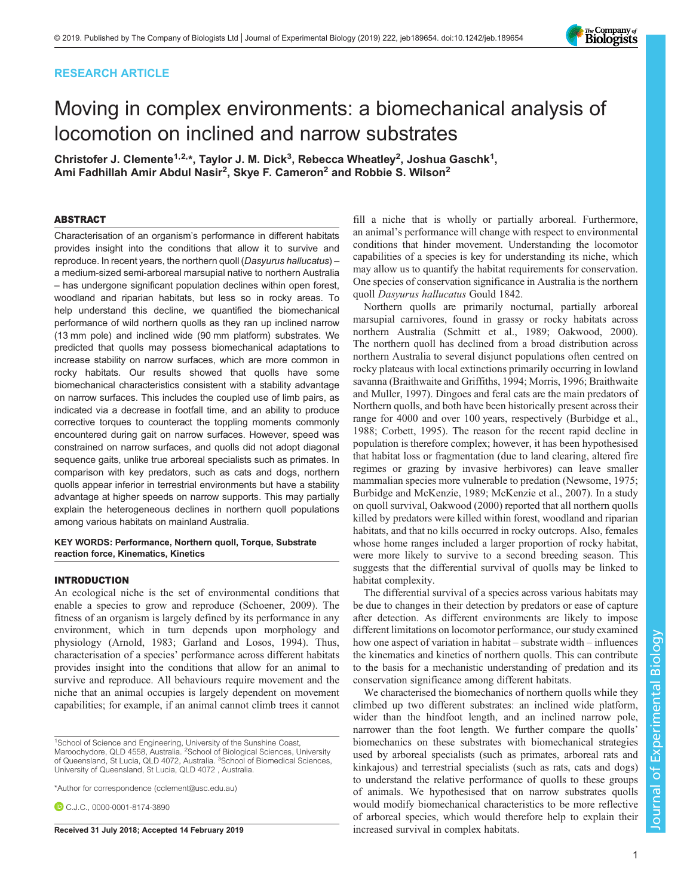## RESEARCH ARTICLE



# Moving in complex environments: a biomechanical analysis of locomotion on inclined and narrow substrates

Christofer J. Clemente $1.2.*$ , Taylor J. M. Dick $^3$ , Rebecca Wheatley $^2$ , Joshua Gaschk $^1$ , Ami Fadhillah Amir Abdul Nasir<sup>2</sup>, Skye F. Cameron<sup>2</sup> and Robbie S. Wilson<sup>2</sup>

### ABSTRACT

Characterisation of an organism's performance in different habitats provides insight into the conditions that allow it to survive and reproduce. In recent years, the northern quoll (Dasyurus hallucatus) – a medium-sized semi-arboreal marsupial native to northern Australia – has undergone significant population declines within open forest, woodland and riparian habitats, but less so in rocky areas. To help understand this decline, we quantified the biomechanical performance of wild northern quolls as they ran up inclined narrow (13 mm pole) and inclined wide (90 mm platform) substrates. We predicted that quolls may possess biomechanical adaptations to increase stability on narrow surfaces, which are more common in rocky habitats. Our results showed that quolls have some biomechanical characteristics consistent with a stability advantage on narrow surfaces. This includes the coupled use of limb pairs, as indicated via a decrease in footfall time, and an ability to produce corrective torques to counteract the toppling moments commonly encountered during gait on narrow surfaces. However, speed was constrained on narrow surfaces, and quolls did not adopt diagonal sequence gaits, unlike true arboreal specialists such as primates. In comparison with key predators, such as cats and dogs, northern quolls appear inferior in terrestrial environments but have a stability advantage at higher speeds on narrow supports. This may partially explain the heterogeneous declines in northern quoll populations among various habitats on mainland Australia.

KEY WORDS: Performance, Northern quoll, Torque, Substrate reaction force, Kinematics, Kinetics

## INTRODUCTION

An ecological niche is the set of environmental conditions that enable a species to grow and reproduce ([Schoener, 2009](#page-9-0)). The fitness of an organism is largely defined by its performance in any environment, which in turn depends upon morphology and physiology ([Arnold, 1983; Garland and Losos, 1994](#page-9-0)). Thus, characterisation of a species' performance across different habitats provides insight into the conditions that allow for an animal to survive and reproduce. All behaviours require movement and the niche that an animal occupies is largely dependent on movement capabilities; for example, if an animal cannot climb trees it cannot

\*Author for correspondence [\(cclement@usc.edu.au](mailto:cclement@usc.edu.au))

C.J.C., [0000-0001-8174-3890](http://orcid.org/0000-0001-8174-3890)

fill a niche that is wholly or partially arboreal. Furthermore, an animal's performance will change with respect to environmental conditions that hinder movement. Understanding the locomotor capabilities of a species is key for understanding its niche, which may allow us to quantify the habitat requirements for conservation. One species of conservation significance in Australia is the northern quoll Dasyurus hallucatus Gould 1842.

Northern quolls are primarily nocturnal, partially arboreal marsupial carnivores, found in grassy or rocky habitats across northern Australia [\(Schmitt et al., 1989](#page-9-0); [Oakwood, 2000\)](#page-9-0). The northern quoll has declined from a broad distribution across northern Australia to several disjunct populations often centred on rocky plateaus with local extinctions primarily occurring in lowland savanna [\(Braithwaite and Griffiths, 1994](#page-9-0); [Morris, 1996](#page-9-0); [Braithwaite](#page-9-0) [and Muller, 1997](#page-9-0)). Dingoes and feral cats are the main predators of Northern quolls, and both have been historically present across their range for 4000 and over 100 years, respectively ([Burbidge et al.,](#page-9-0) [1988; Corbett, 1995\)](#page-9-0). The reason for the recent rapid decline in population is therefore complex; however, it has been hypothesised that habitat loss or fragmentation (due to land clearing, altered fire regimes or grazing by invasive herbivores) can leave smaller mammalian species more vulnerable to predation [\(Newsome, 1975](#page-9-0); [Burbidge and McKenzie, 1989](#page-9-0); [McKenzie et al., 2007\)](#page-9-0). In a study on quoll survival, [Oakwood \(2000\)](#page-9-0) reported that all northern quolls killed by predators were killed within forest, woodland and riparian habitats, and that no kills occurred in rocky outcrops. Also, females whose home ranges included a larger proportion of rocky habitat, were more likely to survive to a second breeding season. This suggests that the differential survival of quolls may be linked to habitat complexity.

The differential survival of a species across various habitats may be due to changes in their detection by predators or ease of capture after detection. As different environments are likely to impose different limitations on locomotor performance, our study examined how one aspect of variation in habitat – substrate width – influences the kinematics and kinetics of northern quolls. This can contribute to the basis for a mechanistic understanding of predation and its conservation significance among different habitats.

We characterised the biomechanics of northern quolls while they climbed up two different substrates: an inclined wide platform, wider than the hindfoot length, and an inclined narrow pole, narrower than the foot length. We further compare the quolls' biomechanics on these substrates with biomechanical strategies used by arboreal specialists (such as primates, arboreal rats and kinkajous) and terrestrial specialists (such as rats, cats and dogs) to understand the relative performance of quolls to these groups of animals. We hypothesised that on narrow substrates quolls would modify biomechanical characteristics to be more reflective of arboreal species, which would therefore help to explain their Received 31 July 2018; Accepted 14 February 2019 increased survival in complex habitats.

<sup>&</sup>lt;sup>1</sup>School of Science and Engineering, University of the Sunshine Coast,<br>Maroochydore, QLD 4558, Australia. <sup>2</sup>School of Biological Sciences, University of Queensland, St Lucia, QLD 4072, Australia. <sup>3</sup>School of Biomedical Sciences, University of Queensland, St Lucia, QLD 4072 , Australia.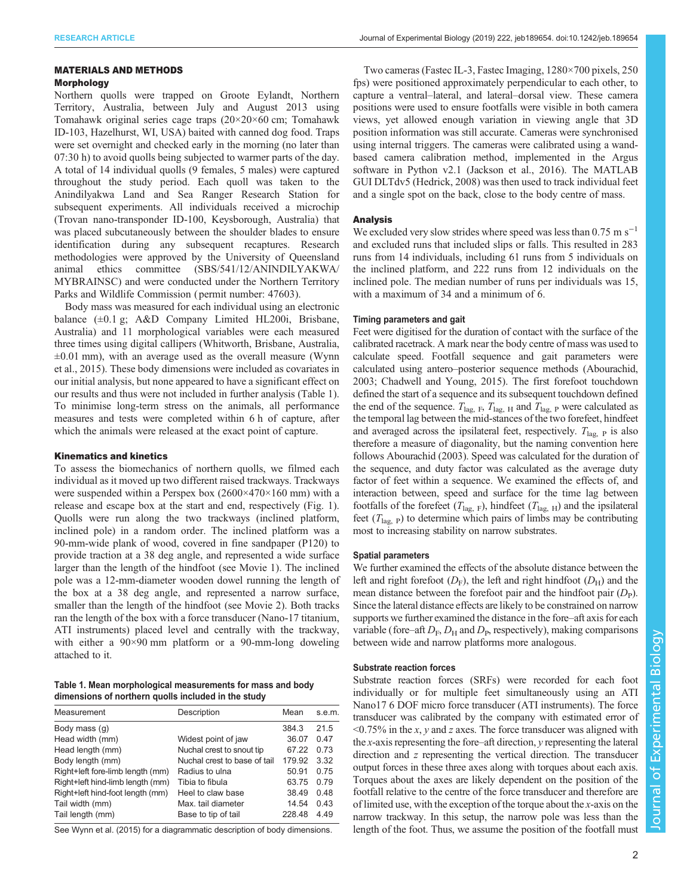## MATERIALS AND METHODS

## Morphology

Northern quolls were trapped on Groote Eylandt, Northern Territory, Australia, between July and August 2013 using Tomahawk original series cage traps (20×20×60 cm; Tomahawk ID-103, Hazelhurst, WI, USA) baited with canned dog food. Traps were set overnight and checked early in the morning (no later than 07:30 h) to avoid quolls being subjected to warmer parts of the day. A total of 14 individual quolls (9 females, 5 males) were captured throughout the study period. Each quoll was taken to the Anindilyakwa Land and Sea Ranger Research Station for subsequent experiments. All individuals received a microchip (Trovan nano-transponder ID-100, Keysborough, Australia) that was placed subcutaneously between the shoulder blades to ensure identification during any subsequent recaptures. Research methodologies were approved by the University of Queensland animal ethics committee (SBS/541/12/ANINDILYAKWA/ MYBRAINSC) and were conducted under the Northern Territory Parks and Wildlife Commission ( permit number: 47603).

Body mass was measured for each individual using an electronic balance (±0.1 g; A&D Company Limited HL200i, Brisbane, Australia) and 11 morphological variables were each measured three times using digital callipers (Whitworth, Brisbane, Australia,  $\pm 0.01$  mm), with an average used as the overall measure ([Wynn](#page-9-0) [et al., 2015\)](#page-9-0). These body dimensions were included as covariates in our initial analysis, but none appeared to have a significant effect on our results and thus were not included in further analysis (Table 1). To minimise long-term stress on the animals, all performance measures and tests were completed within 6 h of capture, after which the animals were released at the exact point of capture.

#### Kinematics and kinetics

To assess the biomechanics of northern quolls, we filmed each individual as it moved up two different raised trackways. Trackways were suspended within a Perspex box (2600×470×160 mm) with a release and escape box at the start and end, respectively ([Fig. 1\)](#page-2-0). Quolls were run along the two trackways (inclined platform, inclined pole) in a random order. The inclined platform was a 90-mm-wide plank of wood, covered in fine sandpaper (P120) to provide traction at a 38 deg angle, and represented a wide surface larger than the length of the hindfoot (see [Movie 1\)](http://movie.biologists.com/video/10.1242/jeb.189654/video-1). The inclined pole was a 12-mm-diameter wooden dowel running the length of the box at a 38 deg angle, and represented a narrow surface, smaller than the length of the hindfoot (see [Movie 2](http://movie.biologists.com/video/10.1242/jeb.189654/video-2)). Both tracks ran the length of the box with a force transducer (Nano-17 titanium, ATI instruments) placed level and centrally with the trackway, with either a 90×90 mm platform or a 90-mm-long doweling attached to it.

Table 1. Mean morphological measurements for mass and body dimensions of northern quolls included in the study

| Measurement                      | Description                  | Mean   | s.e.m. |
|----------------------------------|------------------------------|--------|--------|
| Body mass (q)                    |                              | 384.3  | 21.5   |
| Head width (mm)                  | Widest point of jaw          | 36.07  | 0.47   |
| Head length (mm)                 | Nuchal crest to snout tip    | 67 22  | 0.73   |
| Body length (mm)                 | Nuchal crest to base of tail | 179.92 | 3.32   |
| Right+left fore-limb length (mm) | Radius to ulna               | 50.91  | 0.75   |
| Right+left hind-limb length (mm) | Tibia to fibula              | 63.75  | 0.79   |
| Right+left hind-foot length (mm) | Heel to claw base            | 38.49  | 0.48   |
| Tail width (mm)                  | Max, tail diameter           | 14.54  | 0.43   |
| Tail length (mm)                 | Base to tip of tail          | 228.48 | 4.49   |
|                                  |                              |        |        |

See [Wynn et al. \(2015\)](#page-9-0) for a diagrammatic description of body dimensions.

Two cameras (Fastec IL-3, Fastec Imaging, 1280×700 pixels, 250 fps) were positioned approximately perpendicular to each other, to capture a ventral–lateral, and lateral–dorsal view. These camera positions were used to ensure footfalls were visible in both camera views, yet allowed enough variation in viewing angle that 3D position information was still accurate. Cameras were synchronised using internal triggers. The cameras were calibrated using a wandbased camera calibration method, implemented in the Argus software in Python v2.1 [\(Jackson et al., 2016\)](#page-9-0). The MATLAB GUI DLTdv5 ([Hedrick, 2008\)](#page-9-0) was then used to track individual feet and a single spot on the back, close to the body centre of mass.

## Analysis

We excluded very slow strides where speed was less than  $0.75 \text{ m s}^{-1}$ and excluded runs that included slips or falls. This resulted in 283 runs from 14 individuals, including 61 runs from 5 individuals on the inclined platform, and 222 runs from 12 individuals on the inclined pole. The median number of runs per individuals was 15, with a maximum of 34 and a minimum of 6.

#### Timing parameters and gait

Feet were digitised for the duration of contact with the surface of the calibrated racetrack. A mark near the body centre of mass was used to calculate speed. Footfall sequence and gait parameters were calculated using antero–posterior sequence methods [\(Abourachid,](#page-9-0) [2003; Chadwell and Young, 2015\)](#page-9-0). The first forefoot touchdown defined the start of a sequence and its subsequent touchdown defined the end of the sequence.  $T_{\text{lag, F}}$ ,  $T_{\text{lag, H}}$  and  $T_{\text{lag, P}}$  were calculated as the temporal lag between the mid-stances of the two forefeet, hindfeet and averaged across the ipsilateral feet, respectively.  $T_{\text{lag}}$  p is also therefore a measure of diagonality, but the naming convention here follows [Abourachid \(2003\).](#page-9-0) Speed was calculated for the duration of the sequence, and duty factor was calculated as the average duty factor of feet within a sequence. We examined the effects of, and interaction between, speed and surface for the time lag between footfalls of the forefeet  $(T_{\text{lag, F}})$ , hindfeet  $(T_{\text{lag, H}})$  and the ipsilateral feet  $(T<sub>lac</sub>, p)$  to determine which pairs of limbs may be contributing most to increasing stability on narrow substrates.

#### Spatial parameters

We further examined the effects of the absolute distance between the left and right forefoot  $(D_F)$ , the left and right hindfoot  $(D_H)$  and the mean distance between the forefoot pair and the hindfoot pair  $(D_P)$ . Since the lateral distance effects are likely to be constrained on narrow supports we further examined the distance in the fore–aft axis for each variable (fore–aft  $D_F$ ,  $D_H$  and  $D_P$ , respectively), making comparisons between wide and narrow platforms more analogous.

## Substrate reaction forces

Substrate reaction forces (SRFs) were recorded for each foot individually or for multiple feet simultaneously using an ATI Nano17 6 DOF micro force transducer (ATI instruments). The force transducer was calibrated by the company with estimated error of  $\leq 0.75\%$  in the x, y and z axes. The force transducer was aligned with the x-axis representing the fore–aft direction, y representing the lateral direction and z representing the vertical direction. The transducer output forces in these three axes along with torques about each axis. Torques about the axes are likely dependent on the position of the footfall relative to the centre of the force transducer and therefore are of limited use, with the exception of the torque about the x-axis on the narrow trackway. In this setup, the narrow pole was less than the length of the foot. Thus, we assume the position of the footfall must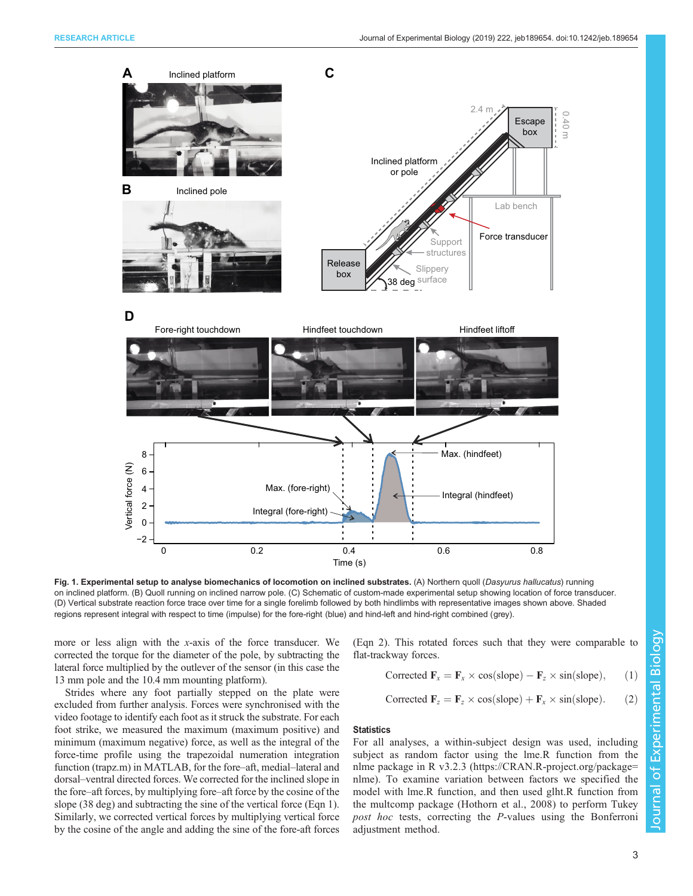<span id="page-2-0"></span>

Fig. 1. Experimental setup to analyse biomechanics of locomotion on inclined substrates. (A) Northern quoll (Dasyurus hallucatus) running on inclined platform. (B) Quoll running on inclined narrow pole. (C) Schematic of custom-made experimental setup showing location of force transducer. (D) Vertical substrate reaction force trace over time for a single forelimb followed by both hindlimbs with representative images shown above. Shaded regions represent integral with respect to time (impulse) for the fore-right (blue) and hind-left and hind-right combined (grey).

more or less align with the x-axis of the force transducer. We corrected the torque for the diameter of the pole, by subtracting the lateral force multiplied by the outlever of the sensor (in this case the 13 mm pole and the 10.4 mm mounting platform).

Strides where any foot partially stepped on the plate were excluded from further analysis. Forces were synchronised with the video footage to identify each foot as it struck the substrate. For each foot strike, we measured the maximum (maximum positive) and minimum (maximum negative) force, as well as the integral of the force-time profile using the trapezoidal numeration integration function (trapz.m) in MATLAB, for the fore–aft, medial–lateral and dorsal–ventral directed forces. We corrected for the inclined slope in the fore–aft forces, by multiplying fore–aft force by the cosine of the slope (38 deg) and subtracting the sine of the vertical force (Eqn 1). Similarly, we corrected vertical forces by multiplying vertical force by the cosine of the angle and adding the sine of the fore-aft forces

(Eqn 2). This rotated forces such that they were comparable to flat-trackway forces.

Corrected 
$$
\mathbf{F}_x = \mathbf{F}_x \times \cos(\text{slope}) - \mathbf{F}_z \times \sin(\text{slope}),
$$
 (1)

Corrected 
$$
\mathbf{F}_z = \mathbf{F}_z \times \cos(\text{slope}) + \mathbf{F}_x \times \sin(\text{slope}).
$$
 (2)

## **Statistics**

For all analyses, a within-subject design was used, including subject as random factor using the lme.R function from the nlme package in R v3.2.3 [\(https://CRAN.R-project.org/package=](https://CRAN.R-project.org/package=nlme) [nlme](https://CRAN.R-project.org/package=nlme)). To examine variation between factors we specified the model with lme.R function, and then used glht.R function from the multcomp package ([Hothorn et al., 2008](#page-9-0)) to perform Tukey post hoc tests, correcting the P-values using the Bonferroni adjustment method.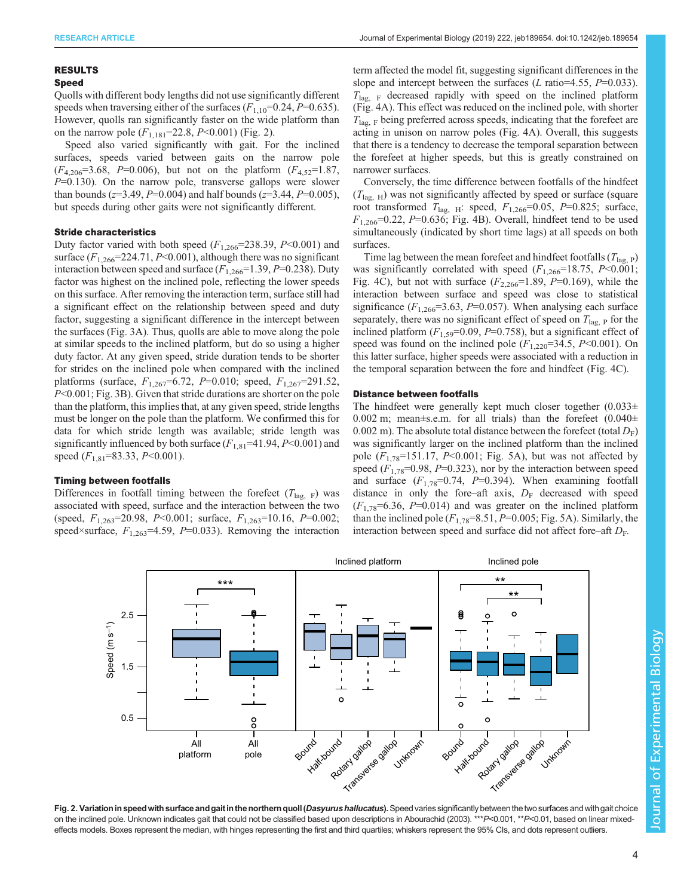#### <span id="page-3-0"></span>RESULTS

## Speed

Quolls with different body lengths did not use significantly different speeds when traversing either of the surfaces  $(F_{1,10}=0.24, P=0.635)$ . However, quolls ran significantly faster on the wide platform than on the narrow pole  $(F_{1,181} = 22.8, P \le 0.001)$  (Fig. 2).

Speed also varied significantly with gait. For the inclined surfaces, speeds varied between gaits on the narrow pole  $(F_{4,206}=3.68, P=0.006)$ , but not on the platform  $(F_{4,52}=1.87,$  $P=0.130$ ). On the narrow pole, transverse gallops were slower than bounds ( $z=3.49$ ,  $P=0.004$ ) and half bounds ( $z=3.44$ ,  $P=0.005$ ), but speeds during other gaits were not significantly different.

#### Stride characteristics

Duty factor varied with both speed  $(F_{1,266}=238.39, P<0.001)$  and surface  $(F_{1,266} = 224.71, P \le 0.001)$ , although there was no significant interaction between speed and surface  $(F_{1,266}=1.39, P=0.238)$ . Duty factor was highest on the inclined pole, reflecting the lower speeds on this surface. After removing the interaction term, surface still had a significant effect on the relationship between speed and duty factor, suggesting a significant difference in the intercept between the surfaces ([Fig. 3A](#page-4-0)). Thus, quolls are able to move along the pole at similar speeds to the inclined platform, but do so using a higher duty factor. At any given speed, stride duration tends to be shorter for strides on the inclined pole when compared with the inclined platforms (surface,  $F_{1,267}$ =6.72, P=0.010; speed,  $F_{1,267}$ =291.52, P<0.001; [Fig. 3](#page-4-0)B). Given that stride durations are shorter on the pole than the platform, this implies that, at any given speed, stride lengths must be longer on the pole than the platform. We confirmed this for data for which stride length was available; stride length was significantly influenced by both surface  $(F_{1,81}=41.94, P<0.001)$  and speed  $(F_{1,81} = 83.33, P \le 0.001)$ .

#### Timing between footfalls

Differences in footfall timing between the forefeet  $(T_{\text{lag}})$  was associated with speed, surface and the interaction between the two (speed,  $F_{1,263}$ =20.98, P<0.001; surface,  $F_{1,263}$ =10.16, P=0.002; speed×surface,  $F_{1,263}$ =4.59, P=0.033). Removing the interaction

term affected the model fit, suggesting significant differences in the slope and intercept between the surfaces (L ratio=4.55,  $P=0.033$ ).  $T_{\text{lag}}$ ,  $F$  decreased rapidly with speed on the inclined platform [\(Fig. 4A](#page-4-0)). This effect was reduced on the inclined pole, with shorter  $T_{\text{lag, F}}$  being preferred across speeds, indicating that the forefeet are acting in unison on narrow poles [\(Fig. 4](#page-4-0)A). Overall, this suggests that there is a tendency to decrease the temporal separation between the forefeet at higher speeds, but this is greatly constrained on narrower surfaces.

Conversely, the time difference between footfalls of the hindfeet  $(T<sub>lag, H</sub>)$  was not significantly affected by speed or surface (square root transformed  $T_{\text{lag}}$  <sub>H</sub>: speed,  $F_{1,266}$ =0.05, P=0.825; surface,  $F_{1,266}$ =0.22, P=0.636; [Fig. 4](#page-4-0)B). Overall, hindfeet tend to be used simultaneously (indicated by short time lags) at all speeds on both surfaces.

Time lag between the mean forefeet and hindfeet footfalls  $(T_{\text{lag, P}})$ was significantly correlated with speed  $(F_{1,266}=18.75, P<0.001;$ [Fig. 4](#page-4-0)C), but not with surface  $(F_{2,266} = 1.89, P = 0.169)$ , while the interaction between surface and speed was close to statistical significance  $(F_{1,266}=3.63, P=0.057)$ . When analysing each surface separately, there was no significant effect of speed on  $T_{\text{lag}}$  p for the inclined platform  $(F_{1,59}=0.09, P=0.758)$ , but a significant effect of speed was found on the inclined pole  $(F_{1,220}=34.5, P<0.001)$ . On this latter surface, higher speeds were associated with a reduction in the temporal separation between the fore and hindfeet ([Fig. 4](#page-4-0)C).

#### Distance between footfalls

The hindfeet were generally kept much closer together  $(0.033\pm$ 0.002 m; mean $\pm$ s.e.m. for all trials) than the forefeet  $(0.040\pm 0.040)$ 0.002 m). The absolute total distance between the forefeet (total  $D_F$ ) was significantly larger on the inclined platform than the inclined pole  $(F_{1,78}=151.17, P<0.001;$  [Fig. 5A](#page-5-0)), but was not affected by speed  $(F_{1,78}=0.98, P=0.323)$ , nor by the interaction between speed and surface  $(F_{1,78}=0.74, P=0.394)$ . When examining footfall distance in only the fore–aft axis,  $D_F$  decreased with speed  $(F_{1,78}=6.36, P=0.014)$  and was greater on the inclined platform than the inclined pole  $(F_{1,78}=8.51, P=0.005; Fig. 5A)$  $(F_{1,78}=8.51, P=0.005; Fig. 5A)$  $(F_{1,78}=8.51, P=0.005; Fig. 5A)$ . Similarly, the interaction between speed and surface did not affect fore–aft  $D_{\text{F}}$ .



Fig. 2. Variation in speed with surface and gait in the northern quoll (Dasyurus hallucatus). Speed varies significantly between the two surfaces and with gait choice on the inclined pole. Unknown indicates gait that could not be classified based upon descriptions in [Abourachid \(2003\)](#page-9-0). \*\*P<0.01, \*\*P<0.01, based on linear mixedeffects models. Boxes represent the median, with hinges representing the first and third quartiles; whiskers represent the 95% CIs, and dots represent outliers.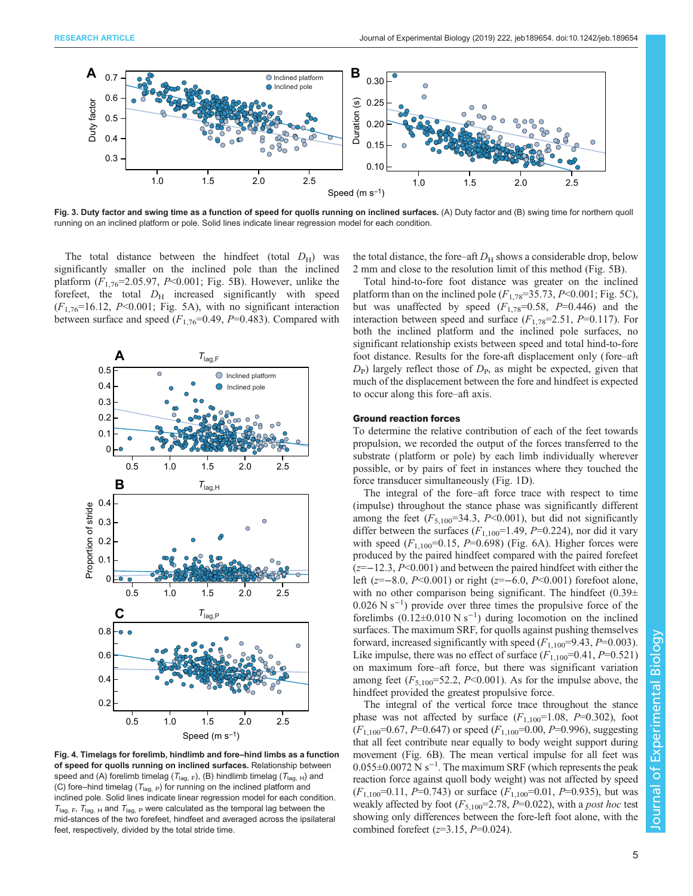<span id="page-4-0"></span>

Fig. 3. Duty factor and swing time as a function of speed for quolls running on inclined surfaces. (A) Duty factor and (B) swing time for northern quoll running on an inclined platform or pole. Solid lines indicate linear regression model for each condition.

The total distance between the hindfeet (total  $D_H$ ) was significantly smaller on the inclined pole than the inclined platform  $(F_{1,76} = 2.05.97, P \le 0.001;$  [Fig. 5](#page-5-0)B). However, unlike the forefeet, the total  $D<sub>H</sub>$  increased significantly with speed  $(F_{1,76}=16.12, P<0.001;$  [Fig. 5A](#page-5-0)), with no significant interaction between surface and speed  $(F_{1,76}=0.49, P=0.483)$ . Compared with



Fig. 4. Timelags for forelimb, hindlimb and fore–hind limbs as a function of speed for quolls running on inclined surfaces. Relationship between speed and (A) forelimb timelag ( $T_{\text{lag, F}}$ ), (B) hindlimb timelag ( $T_{\text{lag, H}}$ ) and (C) fore–hind timelag ( $T_{\text{lag, P}}$ ) for running on the inclined platform and inclined pole. Solid lines indicate linear regression model for each condition.  $T_{\text{lag, F}}$ ,  $T_{\text{lag, H}}$  and  $T_{\text{lag, P}}$  were calculated as the temporal lag between the mid-stances of the two forefeet, hindfeet and averaged across the ipsilateral feet, respectively, divided by the total stride time.

the total distance, the fore–aft  $D<sub>H</sub>$  shows a considerable drop, below 2 mm and close to the resolution limit of this method [\(Fig. 5B](#page-5-0)).

Total hind-to-fore foot distance was greater on the inclined platform than on the inclined pole  $(F_{1,78}=35.73, P<0.001;$  [Fig. 5](#page-5-0)C), but was unaffected by speed  $(F_{1,78}=0.58, P=0.446)$  and the interaction between speed and surface  $(F_{1,78}=2.51, P=0.117)$ . For both the inclined platform and the inclined pole surfaces, no significant relationship exists between speed and total hind-to-fore foot distance. Results for the fore-aft displacement only (fore–aft  $D_P$ ) largely reflect those of  $D_P$ , as might be expected, given that much of the displacement between the fore and hindfeet is expected to occur along this fore–aft axis.

#### Ground reaction forces

To determine the relative contribution of each of the feet towards propulsion, we recorded the output of the forces transferred to the substrate ( platform or pole) by each limb individually wherever possible, or by pairs of feet in instances where they touched the force transducer simultaneously [\(Fig. 1D](#page-2-0)).

The integral of the fore–aft force trace with respect to time (impulse) throughout the stance phase was significantly different among the feet  $(F_{5,100}=34.3, P<0.001)$ , but did not significantly differ between the surfaces  $(F_{1,100}=1.49, P=0.224)$ , nor did it vary with speed  $(F_{1,100}=0.15, P=0.698)$  ([Fig. 6A](#page-6-0)). Higher forces were produced by the paired hindfeet compared with the paired forefeet (z=−12.3, P<0.001) and between the paired hindfeet with either the left (z=−8.0, P<0.001) or right (z=−6.0, P<0.001) forefoot alone, with no other comparison being significant. The hindfeet  $(0.39\pm$ 0.026 N s−<sup>1</sup> ) provide over three times the propulsive force of the forelimbs  $(0.12 \pm 0.010 \text{ N s}^{-1})$  during locomotion on the inclined surfaces. The maximum SRF, for quolls against pushing themselves forward, increased significantly with speed  $(F_{1,100} = 9.43, P = 0.003)$ . Like impulse, there was no effect of surface  $(F_{1,100}=0.41, P=0.521)$ on maximum fore–aft force, but there was significant variation among feet  $(F_{5,100}=52.2, P<0.001)$ . As for the impulse above, the hindfeet provided the greatest propulsive force.

The integral of the vertical force trace throughout the stance phase was not affected by surface  $(F_{1,100}=1.08, P=0.302)$ , foot  $(F_{1,100} = 0.67, P = 0.647)$  or speed  $(F_{1,100} = 0.00, P = 0.996)$ , suggesting that all feet contribute near equally to body weight support during movement [\(Fig. 6B](#page-6-0)). The mean vertical impulse for all feet was 0.055±0.0072 N s−<sup>1</sup> . The maximum SRF (which represents the peak reaction force against quoll body weight) was not affected by speed  $(F_{1,100}=0.11, P=0.743)$  or surface  $(F_{1,100}=0.01, P=0.935)$ , but was weakly affected by foot  $(F_{5,100}=2.78, P=0.022)$ , with a post hoc test showing only differences between the fore-left foot alone, with the combined forefeet  $(z=3.15, P=0.024)$ .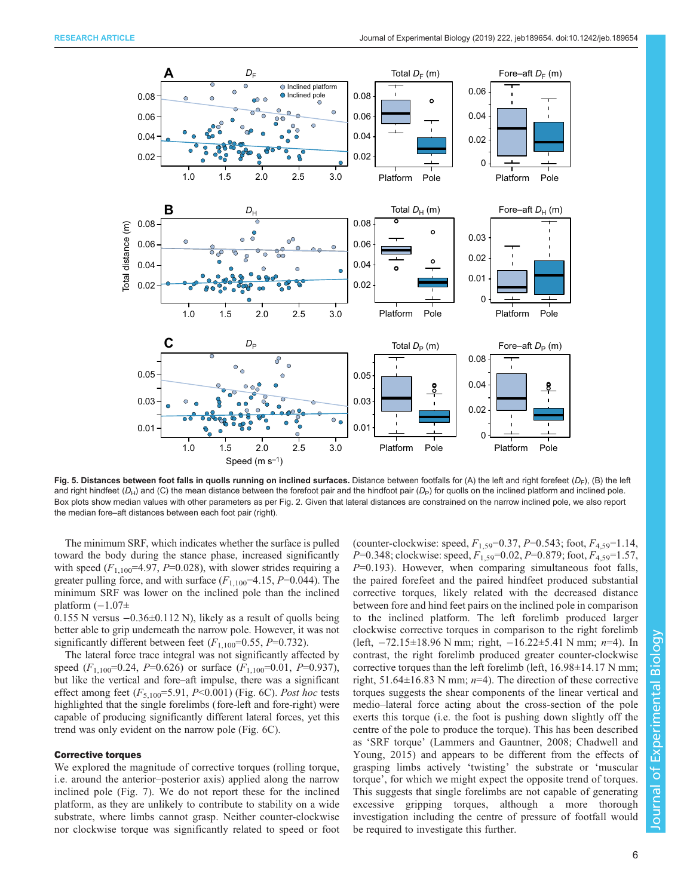<span id="page-5-0"></span>

Fig. 5. Distances between foot falls in quolls running on inclined surfaces. Distance between footfalls for (A) the left and right forefeet (D<sub>F</sub>), (B) the left and right hindfeet ( $D_{H}$ ) and (C) the mean distance between the forefoot pair and the hindfoot pair ( $D_{P}$ ) for quolls on the inclined platform and inclined pole. Box plots show median values with other parameters as per [Fig. 2.](#page-3-0) Given that lateral distances are constrained on the narrow inclined pole, we also report the median fore–aft distances between each foot pair (right).

The minimum SRF, which indicates whether the surface is pulled toward the body during the stance phase, increased significantly with speed  $(F_{1,100} = 4.97, P = 0.028)$ , with slower strides requiring a greater pulling force, and with surface  $(F_{1,100} = 4.15, P = 0.044)$ . The minimum SRF was lower on the inclined pole than the inclined platform  $(-1.07\pm$ 

0.155 N versus −0.36±0.112 N), likely as a result of quolls being better able to grip underneath the narrow pole. However, it was not significantly different between feet  $(F_{1,100}=0.55, P=0.732)$ .

The lateral force trace integral was not significantly affected by speed  $(F_{1,100} = 0.24, P = 0.626)$  or surface  $(F_{1,100} = 0.01, P = 0.937)$ , but like the vertical and fore–aft impulse, there was a significant effect among feet  $(F_{5,100} = 5.91, P < 0.001)$  [\(Fig. 6C](#page-6-0)). Post hoc tests highlighted that the single forelimbs (fore-left and fore-right) were capable of producing significantly different lateral forces, yet this trend was only evident on the narrow pole ([Fig. 6](#page-6-0)C).

### Corrective torques

We explored the magnitude of corrective torques (rolling torque, i.e. around the anterior–posterior axis) applied along the narrow inclined pole ([Fig. 7\)](#page-7-0). We do not report these for the inclined platform, as they are unlikely to contribute to stability on a wide substrate, where limbs cannot grasp. Neither counter-clockwise nor clockwise torque was significantly related to speed or foot

(counter-clockwise: speed,  $F_{1,59}$ =0.37, P=0.543; foot,  $F_{4,59}$ =1.14,  $P=0.348$ ; clockwise: speed,  $F_{1,59}=0.02$ ,  $P=0.879$ ; foot,  $F_{4,59}=1.57$ ,  $P=0.193$ ). However, when comparing simultaneous foot falls, the paired forefeet and the paired hindfeet produced substantial corrective torques, likely related with the decreased distance between fore and hind feet pairs on the inclined pole in comparison to the inclined platform. The left forelimb produced larger clockwise corrective torques in comparison to the right forelimb (left, −72.15±18.96 N mm; right, −16.22±5.41 N mm; n=4). In contrast, the right forelimb produced greater counter-clockwise corrective torques than the left forelimb (left,  $16.98\pm14.17$  N mm; right, 51.64 $\pm$ 16.83 N mm; *n*=4). The direction of these corrective torques suggests the shear components of the linear vertical and medio–lateral force acting about the cross-section of the pole exerts this torque (i.e. the foot is pushing down slightly off the centre of the pole to produce the torque). This has been described as 'SRF torque' [\(Lammers and Gauntner, 2008; Chadwell and](#page-9-0) [Young, 2015](#page-9-0)) and appears to be different from the effects of grasping limbs actively 'twisting' the substrate or 'muscular torque', for which we might expect the opposite trend of torques. This suggests that single forelimbs are not capable of generating excessive gripping torques, although a more thorough investigation including the centre of pressure of footfall would be required to investigate this further.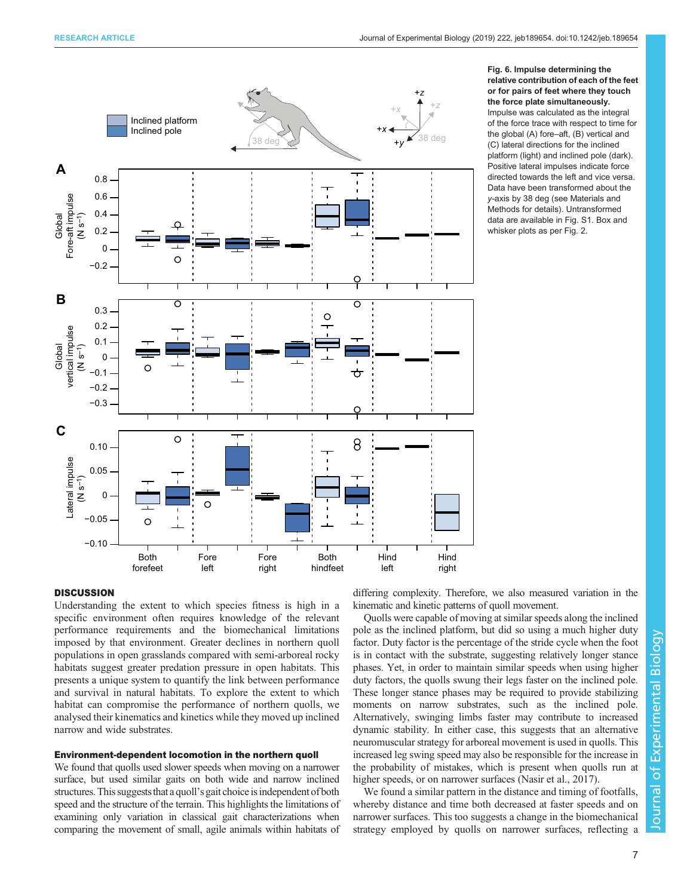<span id="page-6-0"></span>

#### Fig. 6. Impulse determining the relative contribution of each of the feet or for pairs of feet where they touch the force plate simultaneously. Impulse was calculated as the integral of the force trace with respect to time for the global (A) fore–aft, (B) vertical and (C) lateral directions for the inclined platform (light) and inclined pole (dark). Positive lateral impulses indicate force directed towards the left and vice versa. Data have been transformed about the y-axis by 38 deg (see Materials and Methods for details). Untransformed data are available in [Fig. S1.](http://jeb.biologists.org/lookup/doi/10.1242/jeb.189654.supplemental) Box and whisker plots as per [Fig. 2](#page-3-0).

## **DISCUSSION**

Understanding the extent to which species fitness is high in a specific environment often requires knowledge of the relevant performance requirements and the biomechanical limitations imposed by that environment. Greater declines in northern quoll populations in open grasslands compared with semi-arboreal rocky habitats suggest greater predation pressure in open habitats. This presents a unique system to quantify the link between performance and survival in natural habitats. To explore the extent to which habitat can compromise the performance of northern quolls, we analysed their kinematics and kinetics while they moved up inclined narrow and wide substrates.

## Environment-dependent locomotion in the northern quoll

We found that quolls used slower speeds when moving on a narrower surface, but used similar gaits on both wide and narrow inclined structures. This suggests that a quoll's gait choice is independent of both speed and the structure of the terrain. This highlights the limitations of examining only variation in classical gait characterizations when comparing the movement of small, agile animals within habitats of

differing complexity. Therefore, we also measured variation in the kinematic and kinetic patterns of quoll movement.

Quolls were capable of moving at similar speeds along the inclined pole as the inclined platform, but did so using a much higher duty factor. Duty factor is the percentage of the stride cycle when the foot is in contact with the substrate, suggesting relatively longer stance phases. Yet, in order to maintain similar speeds when using higher duty factors, the quolls swung their legs faster on the inclined pole. These longer stance phases may be required to provide stabilizing moments on narrow substrates, such as the inclined pole. Alternatively, swinging limbs faster may contribute to increased dynamic stability. In either case, this suggests that an alternative neuromuscular strategy for arboreal movement is used in quolls. This increased leg swing speed may also be responsible for the increase in the probability of mistakes, which is present when quolls run at higher speeds, or on narrower surfaces ([Nasir et al., 2017\)](#page-9-0).

We found a similar pattern in the distance and timing of footfalls, whereby distance and time both decreased at faster speeds and on narrower surfaces. This too suggests a change in the biomechanical strategy employed by quolls on narrower surfaces, reflecting a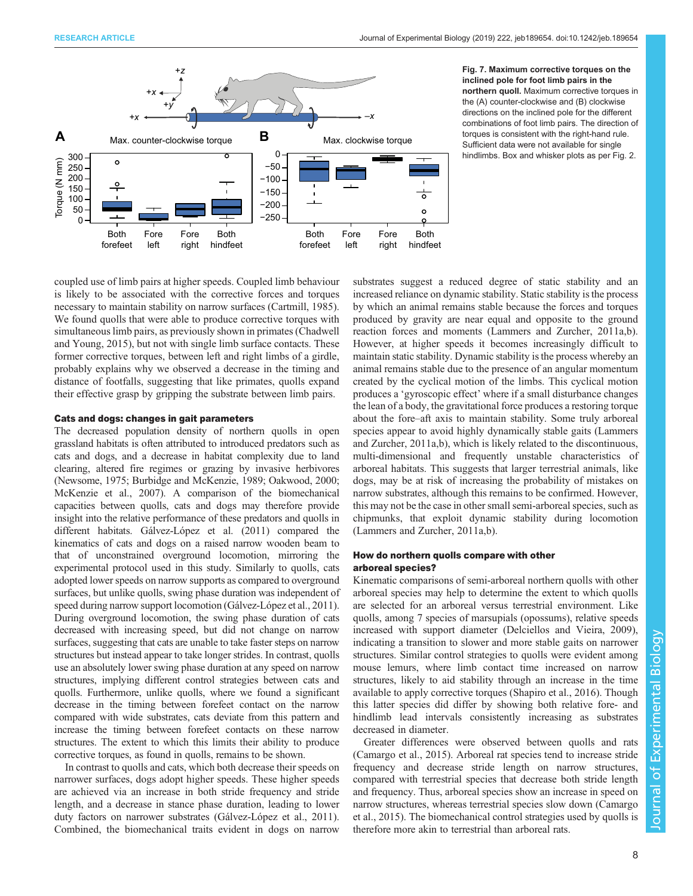<span id="page-7-0"></span>

Fig. 7. Maximum corrective torques on the inclined pole for foot limb pairs in the northern quoll. Maximum corrective torques in the (A) counter-clockwise and (B) clockwise directions on the inclined pole for the different combinations of foot limb pairs. The direction of torques is consistent with the right-hand rule. Sufficient data were not available for single hindlimbs. Box and whisker plots as per [Fig. 2](#page-3-0).

coupled use of limb pairs at higher speeds. Coupled limb behaviour is likely to be associated with the corrective forces and torques necessary to maintain stability on narrow surfaces ([Cartmill, 1985\)](#page-9-0). We found quolls that were able to produce corrective torques with simultaneous limb pairs, as previously shown in primates [\(Chadwell](#page-9-0) [and Young, 2015](#page-9-0)), but not with single limb surface contacts. These former corrective torques, between left and right limbs of a girdle, probably explains why we observed a decrease in the timing and distance of footfalls, suggesting that like primates, quolls expand their effective grasp by gripping the substrate between limb pairs.

## Cats and dogs: changes in gait parameters

The decreased population density of northern quolls in open grassland habitats is often attributed to introduced predators such as cats and dogs, and a decrease in habitat complexity due to land clearing, altered fire regimes or grazing by invasive herbivores [\(Newsome, 1975; Burbidge and McKenzie, 1989](#page-9-0); [Oakwood, 2000](#page-9-0); [McKenzie et al., 2007](#page-9-0)). A comparison of the biomechanical capacities between quolls, cats and dogs may therefore provide insight into the relative performance of these predators and quolls in different habitats. [Gálvez-López et al. \(2011\)](#page-9-0) compared the kinematics of cats and dogs on a raised narrow wooden beam to that of unconstrained overground locomotion, mirroring the experimental protocol used in this study. Similarly to quolls, cats adopted lower speeds on narrow supports as compared to overground surfaces, but unlike quolls, swing phase duration was independent of speed during narrow support locomotion ([Gálvez-López et al., 2011\)](#page-9-0). During overground locomotion, the swing phase duration of cats decreased with increasing speed, but did not change on narrow surfaces, suggesting that cats are unable to take faster steps on narrow structures but instead appear to take longer strides. In contrast, quolls use an absolutely lower swing phase duration at any speed on narrow structures, implying different control strategies between cats and quolls. Furthermore, unlike quolls, where we found a significant decrease in the timing between forefeet contact on the narrow compared with wide substrates, cats deviate from this pattern and increase the timing between forefeet contacts on these narrow structures. The extent to which this limits their ability to produce corrective torques, as found in quolls, remains to be shown.

In contrast to quolls and cats, which both decrease their speeds on narrower surfaces, dogs adopt higher speeds. These higher speeds are achieved via an increase in both stride frequency and stride length, and a decrease in stance phase duration, leading to lower duty factors on narrower substrates [\(Gálvez-López et al., 2011\)](#page-9-0). Combined, the biomechanical traits evident in dogs on narrow substrates suggest a reduced degree of static stability and an increased reliance on dynamic stability. Static stability is the process by which an animal remains stable because the forces and torques produced by gravity are near equal and opposite to the ground reaction forces and moments ([Lammers and Zurcher, 2011a](#page-9-0),[b\)](#page-9-0). However, at higher speeds it becomes increasingly difficult to maintain static stability. Dynamic stability is the process whereby an animal remains stable due to the presence of an angular momentum created by the cyclical motion of the limbs. This cyclical motion produces a 'gyroscopic effect' where if a small disturbance changes the lean of a body, the gravitational force produces a restoring torque about the fore–aft axis to maintain stability. Some truly arboreal species appear to avoid highly dynamically stable gaits [\(Lammers](#page-9-0) [and Zurcher, 2011a,b\)](#page-9-0), which is likely related to the discontinuous, multi-dimensional and frequently unstable characteristics of arboreal habitats. This suggests that larger terrestrial animals, like dogs, may be at risk of increasing the probability of mistakes on narrow substrates, although this remains to be confirmed. However, this may not be the case in other small semi-arboreal species, such as chipmunks, that exploit dynamic stability during locomotion [\(Lammers and Zurcher, 2011a](#page-9-0),[b](#page-9-0)).

## How do northern quolls compare with other arboreal species?

Kinematic comparisons of semi-arboreal northern quolls with other arboreal species may help to determine the extent to which quolls are selected for an arboreal versus terrestrial environment. Like quolls, among 7 species of marsupials (opossums), relative speeds increased with support diameter ([Delciellos and Vieira, 2009\)](#page-9-0), indicating a transition to slower and more stable gaits on narrower structures. Similar control strategies to quolls were evident among mouse lemurs, where limb contact time increased on narrow structures, likely to aid stability through an increase in the time available to apply corrective torques [\(Shapiro et al., 2016\)](#page-9-0). Though this latter species did differ by showing both relative fore- and hindlimb lead intervals consistently increasing as substrates decreased in diameter.

Greater differences were observed between quolls and rats [\(Camargo et al., 2015](#page-9-0)). Arboreal rat species tend to increase stride frequency and decrease stride length on narrow structures, compared with terrestrial species that decrease both stride length and frequency. Thus, arboreal species show an increase in speed on narrow structures, whereas terrestrial species slow down [\(Camargo](#page-9-0) [et al., 2015\)](#page-9-0). The biomechanical control strategies used by quolls is therefore more akin to terrestrial than arboreal rats.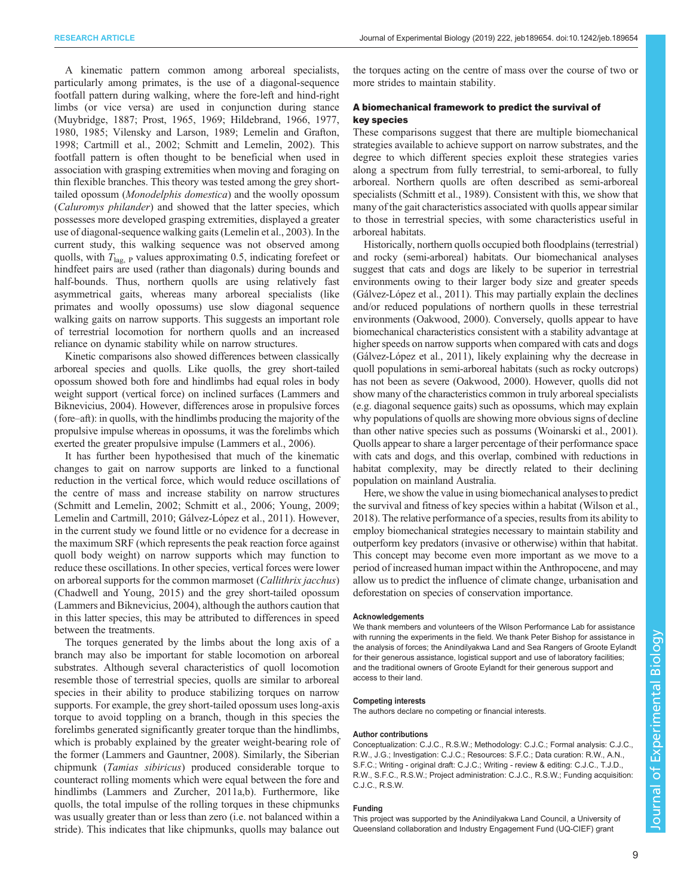A kinematic pattern common among arboreal specialists, particularly among primates, is the use of a diagonal-sequence footfall pattern during walking, where the fore-left and hind-right limbs (or vice versa) are used in conjunction during stance [\(Muybridge, 1887; Prost, 1965, 1969; Hildebrand, 1966, 1977,](#page-9-0) [1980](#page-9-0), [1985; Vilensky and Larson, 1989](#page-9-0); [Lemelin and Grafton,](#page-9-0) [1998](#page-9-0); [Cartmill et al., 2002; Schmitt and Lemelin, 2002](#page-9-0)). This footfall pattern is often thought to be beneficial when used in association with grasping extremities when moving and foraging on thin flexible branches. This theory was tested among the grey shorttailed opossum (Monodelphis domestica) and the woolly opossum (Caluromys philander) and showed that the latter species, which possesses more developed grasping extremities, displayed a greater use of diagonal-sequence walking gaits [\(Lemelin et al., 2003\)](#page-9-0). In the current study, this walking sequence was not observed among quolls, with  $T_{\text{lag, P}}$  values approximating 0.5, indicating forefeet or hindfeet pairs are used (rather than diagonals) during bounds and half-bounds. Thus, northern quolls are using relatively fast asymmetrical gaits, whereas many arboreal specialists (like primates and woolly opossums) use slow diagonal sequence walking gaits on narrow supports. This suggests an important role of terrestrial locomotion for northern quolls and an increased reliance on dynamic stability while on narrow structures.

Kinetic comparisons also showed differences between classically arboreal species and quolls. Like quolls, the grey short-tailed opossum showed both fore and hindlimbs had equal roles in body weight support (vertical force) on inclined surfaces [\(Lammers and](#page-9-0) [Biknevicius, 2004\)](#page-9-0). However, differences arose in propulsive forces (fore–aft): in quolls, with the hindlimbs producing the majority of the propulsive impulse whereas in opossums, it was the forelimbs which exerted the greater propulsive impulse ([Lammers et al., 2006\)](#page-9-0).

It has further been hypothesised that much of the kinematic changes to gait on narrow supports are linked to a functional reduction in the vertical force, which would reduce oscillations of the centre of mass and increase stability on narrow structures [\(Schmitt and Lemelin, 2002](#page-9-0); [Schmitt et al., 2006; Young, 2009](#page-9-0); [Lemelin and Cartmill, 2010; Gálvez-López et al., 2011\)](#page-9-0). However, in the current study we found little or no evidence for a decrease in the maximum SRF (which represents the peak reaction force against quoll body weight) on narrow supports which may function to reduce these oscillations. In other species, vertical forces were lower on arboreal supports for the common marmoset (Callithrix jacchus) [\(Chadwell and Young, 2015\)](#page-9-0) and the grey short-tailed opossum [\(Lammers and Biknevicius, 2004\)](#page-9-0), although the authors caution that in this latter species, this may be attributed to differences in speed between the treatments.

The torques generated by the limbs about the long axis of a branch may also be important for stable locomotion on arboreal substrates. Although several characteristics of quoll locomotion resemble those of terrestrial species, quolls are similar to arboreal species in their ability to produce stabilizing torques on narrow supports. For example, the grey short-tailed opossum uses long-axis torque to avoid toppling on a branch, though in this species the forelimbs generated significantly greater torque than the hindlimbs, which is probably explained by the greater weight-bearing role of the former [\(Lammers and Gauntner, 2008\)](#page-9-0). Similarly, the Siberian chipmunk (Tamias sibiricus) produced considerable torque to counteract rolling moments which were equal between the fore and hindlimbs [\(Lammers and Zurcher, 2011a](#page-9-0),b). Furthermore, like quolls, the total impulse of the rolling torques in these chipmunks was usually greater than or less than zero (i.e. not balanced within a stride). This indicates that like chipmunks, quolls may balance out

the torques acting on the centre of mass over the course of two or more strides to maintain stability.

## A biomechanical framework to predict the survival of key species

These comparisons suggest that there are multiple biomechanical strategies available to achieve support on narrow substrates, and the degree to which different species exploit these strategies varies along a spectrum from fully terrestrial, to semi-arboreal, to fully arboreal. Northern quolls are often described as semi-arboreal specialists ([Schmitt et al., 1989\)](#page-9-0). Consistent with this, we show that many of the gait characteristics associated with quolls appear similar to those in terrestrial species, with some characteristics useful in arboreal habitats.

Historically, northern quolls occupied both floodplains (terrestrial) and rocky (semi-arboreal) habitats. Our biomechanical analyses suggest that cats and dogs are likely to be superior in terrestrial environments owing to their larger body size and greater speeds [\(Gálvez-López et al., 2011\)](#page-9-0). This may partially explain the declines and/or reduced populations of northern quolls in these terrestrial environments [\(Oakwood, 2000](#page-9-0)). Conversely, quolls appear to have biomechanical characteristics consistent with a stability advantage at higher speeds on narrow supports when compared with cats and dogs [\(Gálvez-López et al., 2011](#page-9-0)), likely explaining why the decrease in quoll populations in semi-arboreal habitats (such as rocky outcrops) has not been as severe [\(Oakwood, 2000\)](#page-9-0). However, quolls did not show many of the characteristics common in truly arboreal specialists (e.g. diagonal sequence gaits) such as opossums, which may explain why populations of quolls are showing more obvious signs of decline than other native species such as possums [\(Woinarski et al., 2001\)](#page-9-0). Quolls appear to share a larger percentage of their performance space with cats and dogs, and this overlap, combined with reductions in habitat complexity, may be directly related to their declining population on mainland Australia.

Here, we show the value in using biomechanical analyses to predict the survival and fitness of key species within a habitat [\(Wilson et al.,](#page-9-0) [2018\)](#page-9-0). The relative performance of a species, results from its ability to employ biomechanical strategies necessary to maintain stability and outperform key predators (invasive or otherwise) within that habitat. This concept may become even more important as we move to a period of increased human impact within the Anthropocene, and may allow us to predict the influence of climate change, urbanisation and deforestation on species of conservation importance.

#### Acknowledgements

We thank members and volunteers of the Wilson Performance Lab for assistance with running the experiments in the field. We thank Peter Bishop for assistance in the analysis of forces; the Anindilyakwa Land and Sea Rangers of Groote Eylandt for their generous assistance, logistical support and use of laboratory facilities; and the traditional owners of Groote Eylandt for their generous support and access to their land.

#### Competing interests

The authors declare no competing or financial interests.

#### Author contributions

Conceptualization: C.J.C., R.S.W.; Methodology: C.J.C.; Formal analysis: C.J.C., R.W., J.G.; Investigation: C.J.C.; Resources: S.F.C.; Data curation: R.W., A.N., S.F.C.; Writing - original draft: C.J.C.; Writing - review & editing: C.J.C., T.J.D., R.W., S.F.C., R.S.W.; Project administration: C.J.C., R.S.W.; Funding acquisition: C.J.C., R.S.W.

#### Funding

This project was supported by the Anindilyakwa Land Council, a University of Queensland collaboration and Industry Engagement Fund (UQ-CIEF) grant